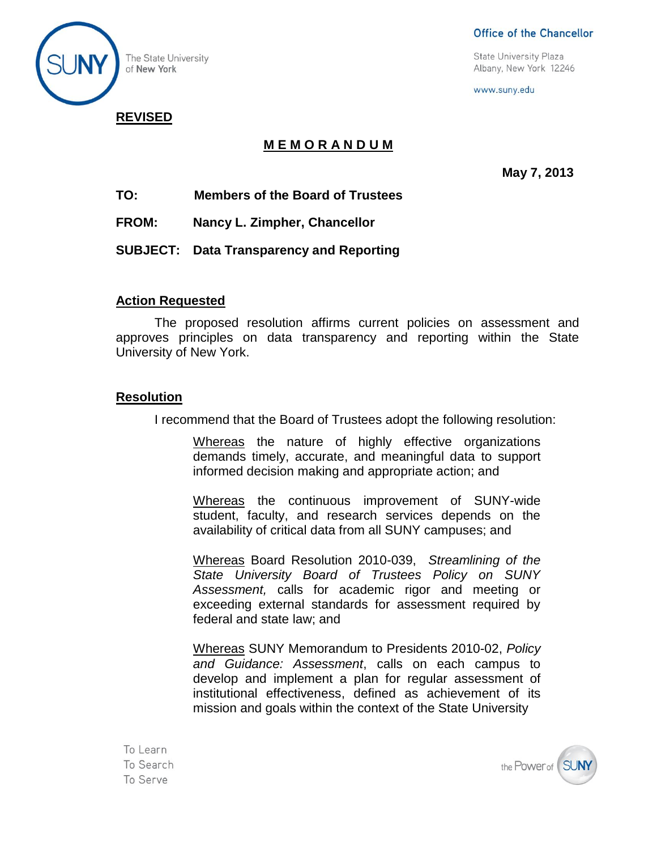

Office of the Chancellor

**State University Plaza** Albany, New York 12246

www.suny.edu

# **REVISED**

## **M E M O R A N D U M**

**May 7, 2013**

- **TO: Members of the Board of Trustees**
- **FROM: Nancy L. Zimpher, Chancellor**
- **SUBJECT: Data Transparency and Reporting**

### **Action Requested**

The proposed resolution affirms current policies on assessment and approves principles on data transparency and reporting within the State University of New York.

#### **Resolution**

I recommend that the Board of Trustees adopt the following resolution:

Whereas the nature of highly effective organizations demands timely, accurate, and meaningful data to support informed decision making and appropriate action; and

Whereas the continuous improvement of SUNY-wide student, faculty, and research services depends on the availability of critical data from all SUNY campuses; and

Whereas Board Resolution 2010-039, *Streamlining of the State University Board of Trustees Policy on SUNY Assessment,* calls for academic rigor and meeting or exceeding external standards for assessment required by federal and state law; and

Whereas SUNY Memorandum to Presidents 2010-02, *Policy and Guidance: Assessment*, calls on each campus to develop and implement a plan for regular assessment of institutional effectiveness, defined as achievement of its mission and goals within the context of the State University

To Learn To Search To Serve

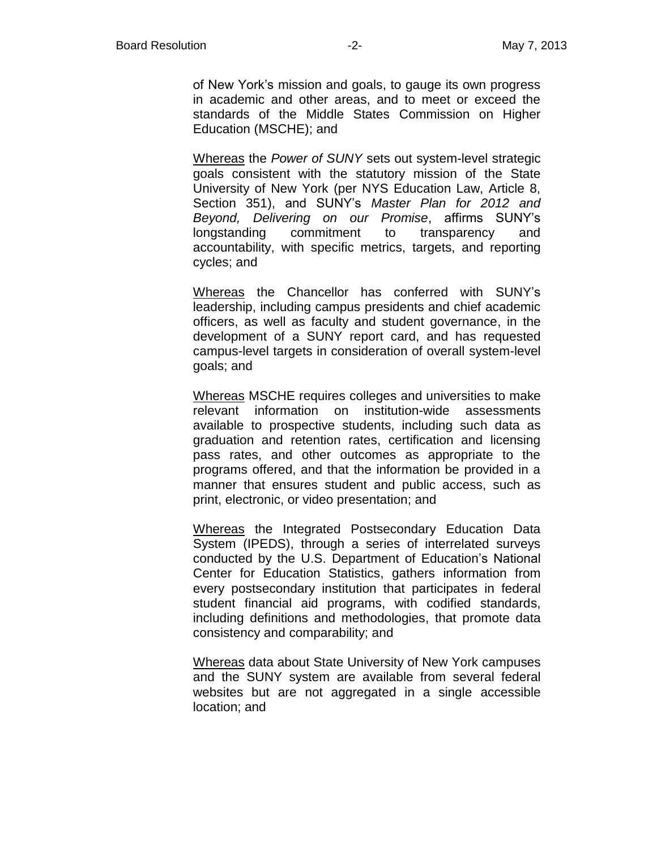of New York's mission and goals, to gauge its own progress in academic and other areas, and to meet or exceed the standards of the Middle States Commission on Higher Education (MSCHE); and

Whereas the *Power of SUNY* sets out system-level strategic goals consistent with the statutory mission of the State University of New York (per NYS Education Law, Article 8, Section 351), and SUNY's *Master Plan for 2012 and Beyond, Delivering on our Promise*, affirms SUNY's longstanding commitment to transparency and accountability, with specific metrics, targets, and reporting cycles; and

Whereas the Chancellor has conferred with SUNY's leadership, including campus presidents and chief academic officers, as well as faculty and student governance, in the development of a SUNY report card, and has requested campus-level targets in consideration of overall system-level goals; and

Whereas MSCHE requires colleges and universities to make relevant information on institution-wide assessments available to prospective students, including such data as graduation and retention rates, certification and licensing pass rates, and other outcomes as appropriate to the programs offered, and that the information be provided in a manner that ensures student and public access, such as print, electronic, or video presentation; and

Whereas the Integrated Postsecondary Education Data System (IPEDS), through a series of interrelated surveys conducted by the U.S. Department of Education's National Center for Education Statistics, gathers information from every postsecondary institution that participates in federal student financial aid programs, with codified standards, including definitions and methodologies, that promote data consistency and comparability; and

Whereas data about State University of New York campuses and the SUNY system are available from several federal websites but are not aggregated in a single accessible location; and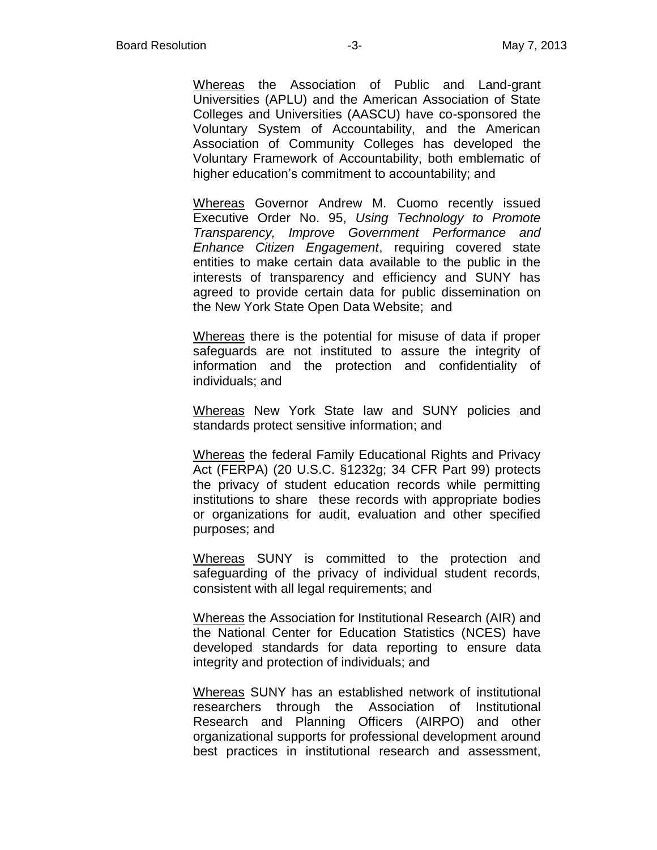Whereas the Association of Public and Land-grant Universities (APLU) and the American Association of State Colleges and Universities (AASCU) have co-sponsored the Voluntary System of Accountability, and the American Association of Community Colleges has developed the Voluntary Framework of Accountability, both emblematic of higher education's commitment to accountability; and

Whereas Governor Andrew M. Cuomo recently issued Executive Order No. 95, *Using Technology to Promote Transparency, Improve Government Performance and Enhance Citizen Engagement*, requiring covered state entities to make certain data available to the public in the interests of transparency and efficiency and SUNY has agreed to provide certain data for public dissemination on the New York State Open Data Website; and

Whereas there is the potential for misuse of data if proper safeguards are not instituted to assure the integrity of information and the protection and confidentiality of individuals; and

Whereas New York State law and SUNY policies and standards protect sensitive information; and

Whereas the federal Family Educational Rights and Privacy Act (FERPA) (20 U.S.C. §1232g; 34 CFR Part 99) protects the privacy of student education records while permitting institutions to share these records with appropriate bodies or organizations for audit, evaluation and other specified purposes; and

Whereas SUNY is committed to the protection and safeguarding of the privacy of individual student records, consistent with all legal requirements; and

Whereas the Association for Institutional Research (AIR) and the National Center for Education Statistics (NCES) have developed standards for data reporting to ensure data integrity and protection of individuals; and

Whereas SUNY has an established network of institutional researchers through the Association of Institutional Research and Planning Officers (AIRPO) and other organizational supports for professional development around best practices in institutional research and assessment,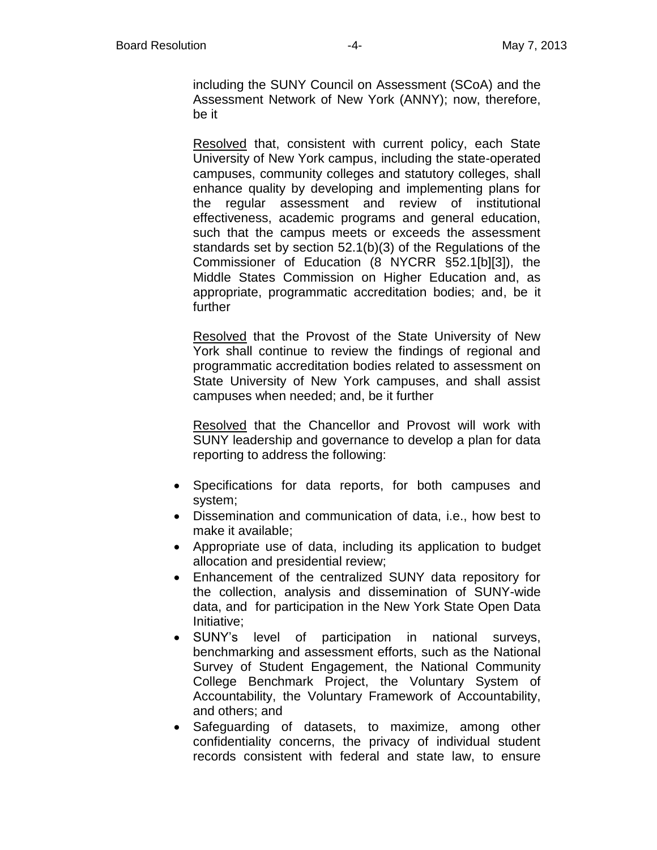including the SUNY Council on Assessment (SCoA) and the Assessment Network of New York (ANNY); now, therefore, be it

Resolved that, consistent with current policy, each State University of New York campus, including the state-operated campuses, community colleges and statutory colleges, shall enhance quality by developing and implementing plans for the regular assessment and review of institutional effectiveness, academic programs and general education, such that the campus meets or exceeds the assessment standards set by section 52.1(b)(3) of the Regulations of the Commissioner of Education (8 NYCRR §52.1[b][3]), the Middle States Commission on Higher Education and, as appropriate, programmatic accreditation bodies; and, be it further

Resolved that the Provost of the State University of New York shall continue to review the findings of regional and programmatic accreditation bodies related to assessment on State University of New York campuses, and shall assist campuses when needed; and, be it further

Resolved that the Chancellor and Provost will work with SUNY leadership and governance to develop a plan for data reporting to address the following:

- Specifications for data reports, for both campuses and system;
- Dissemination and communication of data, i.e., how best to make it available;
- Appropriate use of data, including its application to budget allocation and presidential review;
- Enhancement of the centralized SUNY data repository for the collection, analysis and dissemination of SUNY-wide data, and for participation in the New York State Open Data Initiative;
- SUNY's level of participation in national surveys, benchmarking and assessment efforts, such as the National Survey of Student Engagement, the National Community College Benchmark Project, the Voluntary System of Accountability, the Voluntary Framework of Accountability, and others; and
- Safeguarding of datasets, to maximize, among other confidentiality concerns, the privacy of individual student records consistent with federal and state law, to ensure